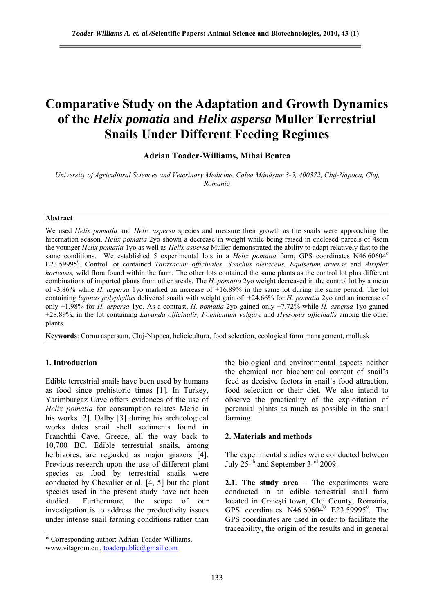# **Comparative Study on the Adaptation and Growth Dynamics of the** *Helix pomatia* **and** *Helix aspersa* **Muller Terrestrial Snails Under Different Feeding Regimes**

## **Adrian Toader-Williams, Mihai Benţea**

*University of Agricultural Sciences and Veterinary Medicine, Calea Mănăştur 3-5, 400372, Cluj-Napoca, Cluj, Romania* 

#### **Abstract**

We used *Helix pomatia* and *Helix aspersa* species and measure their growth as the snails were approaching the hibernation season. *Helix pomatia* 2yo shown a decrease in weight while being raised in enclosed parcels of 4sqm the younger *Helix pomatia* 1yo as well as *Helix aspersa* Muller demonstrated the ability to adapt relatively fast to the same conditions. We established 5 experimental lots in a *Helix pomatia* farm, GPS coordinates N46.60604<sup>0</sup> E23.59995<sup>0</sup>. Control lot contained *Taraxacum officinales, Sonchus oleraceus, Equisetum arvense* and *Atriplex hortensis,* wild flora found within the farm. The other lots contained the same plants as the control lot plus different combinations of imported plants from other areals. The *H. pomatia* 2yo weight decreased in the control lot by a mean of -3.86% while *H. aspersa* 1yo marked an increase of +16.89% in the same lot during the same period. The lot containing *lupinus polyphyllus* delivered snails with weight gain of +24.66% for *H. pomatia* 2yo and an increase of only +1.98% for *H. aspersa* 1yo. As a contrast, *H. pomatia* 2yo gained only +7.72% while *H. aspersa* 1yo gained +28.89%, in the lot containing *Lavanda officinalis, Foeniculum vulgare* and *Hyssopus officinalis* among the other plants.

**Keywords**: Cornu aspersum, Cluj-Napoca, helicicultura, food selection, ecological farm management, mollusk

## **1. Introduction**

 $\overline{a}$ 

Edible terrestrial snails have been used by humans as food since prehistoric times [1]. In Turkey, Yarimburgaz Cave offers evidences of the use of *Helix pomatia* for consumption relates Meric in his works [2]. Dalby [3] during his archeological works dates snail shell sediments found in Franchthi Cave, Greece, all the way back to 10,700 BC. Edible terrestrial snails, among herbivores, are regarded as major grazers [4]. Previous research upon the use of different plant species as food by terrestrial snails were conducted by Chevalier et al. [4, 5] but the plant species used in the present study have not been studied. Furthermore, the scope of our investigation is to address the productivity issues under intense snail farming conditions rather than the biological and environmental aspects neither the chemical nor biochemical content of snail's feed as decisive factors in snail's food attraction, food selection or their diet. We also intend to observe the practicality of the exploitation of perennial plants as much as possible in the snail farming.

#### **2. Materials and methods**

The experimental studies were conducted between July  $25<sup>-th</sup>$  and September 3-<sup>rd</sup> 2009.

**2.1. The study area** – The experiments were conducted in an edible terrestrial snail farm located in Crăieşti town, Cluj County, Romania, GPS coordinates  $N46.60604^{\circ}$  E23.59995<sup>°</sup>. The GPS coordinates are used in order to facilitate the traceability, the origin of the results and in general

<sup>\*</sup> Corresponding author: Adrian Toader-Williams, www.vitagrom.eu, toaderpublic@gmail.com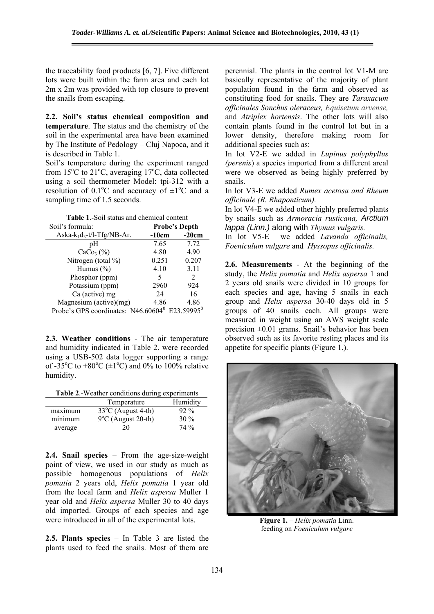the traceability food products [6, 7]. Five different lots were built within the farm area and each lot 2m x 2m was provided with top closure to prevent the snails from escaping.

**2.2. Soil's status chemical composition and temperature**. The status and the chemistry of the soil in the experimental area have been examined by The Institute of Pedology – Cluj Napoca, and it is described in Table 1.

Soil's temperature during the experiment ranged from 15 $^{\circ}$ C to 21 $^{\circ}$ C, averaging 17 $^{\circ}$ C, data collected using a soil thermometer Model: tpi-312 with a resolution of  $0.1^{\circ}$ C and accuracy of  $\pm 1^{\circ}$ C and a sampling time of 1.5 seconds.

**Table 1**.-Soil status and chemical content

| Soil's formula:                                               | <b>Probe's Depth</b> |         |  |  |  |
|---------------------------------------------------------------|----------------------|---------|--|--|--|
| Aska- $k_1d_3$ -t/l-Tfg/NB-Ar.                                | $-10cm$              | $-20cm$ |  |  |  |
| pH                                                            | 7.65                 | 7.72    |  |  |  |
| $CaCo3(\%)$                                                   | 4.80                 | 4.90    |  |  |  |
| Nitrogen (total $\%$ )                                        | 0.251                | 0.207   |  |  |  |
| Humus $(\% )$                                                 | 4.10                 | 3.11    |  |  |  |
| Phosphor (ppm)                                                | 5                    | 2       |  |  |  |
| Potassium (ppm)                                               | 2960                 | 924     |  |  |  |
| Ca (active) mg                                                | 24                   | 16      |  |  |  |
| Magnesium (active)(mg)                                        | 4.86                 | 4.86    |  |  |  |
| Probe's GPS coordinates: $N46.60604^0$ E23.59995 <sup>0</sup> |                      |         |  |  |  |

**2.3. Weather conditions** - The air temperature and humidity indicated in Table 2. were recorded using a USB-502 data logger supporting a range of -35<sup>o</sup>C to +80<sup>o</sup>C ( $\pm$ 1<sup>o</sup>C) and 0% to 100% relative humidity.

**Table 2**.-Weather conditions during experiments

|         | Temperature                  | Humidity |
|---------|------------------------------|----------|
| maximum | $33^{\circ}$ C (August 4-th) | $92\%$   |
| minimum | $9^{\circ}$ C (August 20-th) | $30\%$   |
| average | 20                           | $74\%$   |

**2.4. Snail species** – From the age-size-weight point of view, we used in our study as much as possible homogenous populations of *Helix pomatia* 2 years old, *Helix pomatia* 1 year old from the local farm and *Helix aspersa* Muller 1 year old and *Helix aspersa* Muller 30 to 40 days old imported. Groups of each species and age were introduced in all of the experimental lots.

**2.5. Plants species** – In Table 3 are listed the plants used to feed the snails. Most of them are perennial. The plants in the control lot V1-M are basically representative of the majority of plant population found in the farm and observed as constituting food for snails. They are *Taraxacum officinales Sonchus oleraceus, Equisetum arvense,*  and *Atriplex hortensis*. The other lots will also contain plants found in the control lot but in a lower density, therefore making room for additional species such as:

In lot V2-E we added in *Lupinus polyphyllus (perenis*) a species imported from a different areal were we observed as being highly preferred by snails.

In lot V3-E we added *Rumex acetosa and Rheum officinale (R. Rhaponticum).*

In lot V4-E we added other highly preferred plants by snails such as *Armoracia rusticana, Arctium lappa (Linn.)* along with *Thymus vulgaris.* 

In lot V5-E we added *Lavanda officinalis, Foeniculum vulgare* and *Hyssopus officinalis.* 

**2.6. Measurements** - At the beginning of the study, the *Helix pomatia* and *Helix aspersa* 1 and 2 years old snails were divided in 10 groups for each species and age, having 5 snails in each group and *Helix aspersa* 30-40 days old in 5 groups of 40 snails each. All groups were measured in weight using an AWS weight scale precision  $\pm 0.01$  grams. Snail's behavior has been observed such as its favorite resting places and its appetite for specific plants (Figure 1.).



**Figure 1.** – *Helix pomatia* Linn. feeding on *Foeniculum vulgare*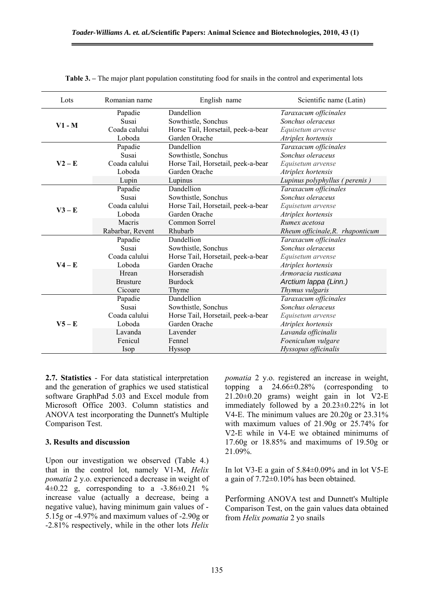| Lots     | Romanian name    | English name                       | Scientific name (Latin)          |
|----------|------------------|------------------------------------|----------------------------------|
|          | Papadie          | Dandellion                         | Taraxacum officinales            |
| $V1 - M$ | Susai            | Sowthistle, Sonchus                | Sonchus oleraceus                |
|          | Coada calului    | Horse Tail, Horsetail, peek-a-bear | Equisetum arvense                |
|          | Loboda           | Garden Orache                      | Atriplex hortensis               |
|          | Papadie          | Dandellion                         | Taraxacum officinales            |
|          | Susai            | Sowthistle, Sonchus                | Sonchus oleraceus                |
| $V2 - E$ | Coada calului    | Horse Tail, Horsetail, peek-a-bear | Equisetum arvense                |
|          | Loboda           | Garden Orache                      | Atriplex hortensis               |
|          | Lupin            | Lupinus                            | Lupinus polyphyllus (perenis)    |
|          | Papadie          | Dandellion                         | Taraxacum officinales            |
|          | Susai            | Sowthistle, Sonchus                | Sonchus oleraceus                |
| $V3 - E$ | Coada calului    | Horse Tail, Horsetail, peek-a-bear | Equisetum arvense                |
|          | Loboda           | Garden Orache                      | Atriplex hortensis               |
|          | Macris           | Common Sorrel                      | Rumex acetosa                    |
|          | Rabarbar, Revent | Rhubarb                            | Rheum officinale, R. rhaponticum |
|          | Papadie          | Dandellion                         | Taraxacum officinales            |
|          | Susai            | Sowthistle, Sonchus                | Sonchus oleraceus                |
|          | Coada calului    | Horse Tail, Horsetail, peek-a-bear | Equisetum arvense                |
| $V4 - E$ | Loboda           | Garden Orache                      | Atriplex hortensis               |
|          | Hrean            | Horseradish                        | Armoracia rusticana              |
|          | <b>Brusture</b>  | <b>Burdock</b>                     | Arctium lappa (Linn.)            |
|          | Cicoare          | Thyme                              | Thymus vulgaris                  |
|          | Papadie          | Dandellion                         | Taraxacum officinales            |
| $V5 - E$ | Susai            | Sowthistle, Sonchus                | Sonchus oleraceus                |
|          | Coada calului    | Horse Tail, Horsetail, peek-a-bear | Equisetum arvense                |
|          | Loboda           | Garden Orache                      | Atriplex hortensis               |
|          | Lavanda          | Lavender                           | Lavanda officinalis              |
|          | Fenicul          | Fennel                             | Foeniculum vulgare               |
|          | Isop             | Hyssop                             | Hyssopus officinalis             |

**Table 3.** – The major plant population constituting food for snails in the control and experimental lots

**2.7. Statistics** - For data statistical interpretation and the generation of graphics we used statistical software GraphPad 5.03 and Excel module from Microsoft Office 2003. Column statistics and ANOVA test incorporating the Dunnett's Multiple Comparison Test.

## **3. Results and discussion**

Upon our investigation we observed (Table 4.) that in the control lot, namely V1-M, *Helix pomatia* 2 y.o. experienced a decrease in weight of 4 $\pm 0.22$  g, corresponding to a -3.86 $\pm 0.21$  % increase value (actually a decrease, being a negative value), having minimum gain values of - 5.15g or -4.97% and maximum values of -2.90g or -2.81% respectively, while in the other lots *Helix*  *pomatia* 2 y.o. registered an increase in weight, topping a 24.66±0.28% (corresponding to  $21.20\pm0.20$  grams) weight gain in lot V2-E immediately followed by a 20.23±0.22% in lot V4-E. The minimum values are 20.20g or 23.31% with maximum values of 21.90g or 25.74% for V2-E while in V4-E we obtained minimums of 17.60g or 18.85% and maximums of 19.50g or 21.09%.

In lot V3-E a gain of  $5.84\pm0.09\%$  and in lot V5-E a gain of 7.72±0.10% has been obtained.

Performing ANOVA test and Dunnett's Multiple Comparison Test, on the gain values data obtained from *Helix pomatia* 2 yo snails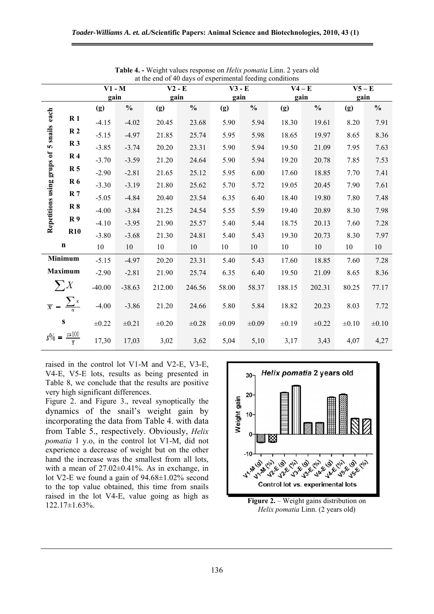|                            | at the end of 40 days of experimental reeding conditions |            |               |            |               |            |               |            |               |            |               |  |  |
|----------------------------|----------------------------------------------------------|------------|---------------|------------|---------------|------------|---------------|------------|---------------|------------|---------------|--|--|
|                            |                                                          | $V1 - M$   |               | $V2 - E$   |               | $V3 - E$   |               | $V4 - E$   |               | $V5 - E$   |               |  |  |
|                            |                                                          | gain       |               | gain       |               | gain       |               | gain       |               | gain       |               |  |  |
|                            |                                                          | (g)        | $\frac{1}{2}$ | (g)        | $\frac{0}{0}$ | (g)        | $\frac{0}{0}$ | (g)        | $\frac{0}{0}$ | (g)        | $\frac{0}{0}$ |  |  |
| each                       | R <sub>1</sub>                                           | $-4.15$    | $-4.02$       | 20.45      | 23.68         | 5.90       | 5.94          | 18.30      | 19.61         | $8.20\,$   | 7.91          |  |  |
| 5 snails                   | R <sub>2</sub>                                           | $-5.15$    | $-4.97$       | 21.85      | 25.74         | 5.95       | 5.98          | 18.65      | 19.97         | 8.65       | 8.36          |  |  |
|                            | R <sub>3</sub>                                           | $-3.85$    | $-3.74$       | 20.20      | 23.31         | 5.90       | 5.94          | 19.50      | 21.09         | 7.95       | 7.63          |  |  |
| Repetitions using grups of | R <sub>4</sub>                                           | $-3.70$    | $-3.59$       | 21.20      | 24.64         | 5.90       | 5.94          | 19.20      | 20.78         | 7.85       | 7.53          |  |  |
|                            | R <sub>5</sub>                                           | $-2.90$    | $-2.81$       | 21.65      | 25.12         | 5.95       | 6.00          | 17.60      | 18.85         | 7.70       | 7.41          |  |  |
|                            | <b>R6</b>                                                | $-3.30$    | $-3.19$       | 21.80      | 25.62         | 5.70       | 5.72          | 19.05      | 20.45         | 7.90       | 7.61          |  |  |
|                            | R <sub>7</sub>                                           | $-5.05$    | $-4.84$       | 20.40      | 23.54         | 6.35       | 6.40          | 18.40      | 19.80         | 7.80       | 7.48          |  |  |
|                            | R8                                                       | $-4.00$    | $-3.84$       | 21.25      | 24.54         | 5.55       | 5.59          | 19.40      | 20.89         | 8.30       | 7.98          |  |  |
|                            | R <sub>9</sub>                                           | $-4.10$    | $-3.95$       | 21.90      | 25.57         | 5.40       | 5.44          | 18.75      | 20.13         | 7.60       | 7.28          |  |  |
|                            | <b>R10</b>                                               | $-3.80$    | $-3.68$       | 21.30      | 24.81         | 5.40       | 5.43          | 19.30      | 20.73         | 8.30       | 7.97          |  |  |
|                            | $\mathbf n$                                              | $10\,$     | 10            | 10         | 10            | 10         | 10            | 10         | 10            | 10         | $10\,$        |  |  |
|                            | Minimum                                                  | $-5.15$    | $-4.97$       | 20.20      | 23.31         | 5.40       | 5.43          | 17.60      | 18.85         | 7.60       | 7.28          |  |  |
|                            | <b>Maximum</b>                                           | $-2.90$    | $-2.81$       | 21.90      | 25.74         | 6.35       | 6.40          | 19.50      | 21.09         | 8.65       | 8.36          |  |  |
|                            | $\sum X$                                                 | $-40.00$   | $-38.63$      | 212.00     | 246.56        | 58.00      | 58.37         | 188.15     | 202.31        | 80.25      | 77.17         |  |  |
|                            | $\overline{x} = \frac{\sum x}{n}$                        | $-4.00$    | $-3.86$       | 21.20      | 24.66         | 5.80       | 5.84          | 18.82      | 20.23         | 8.03       | 7.72          |  |  |
|                            | S                                                        | $\pm 0.22$ | $\pm 0.21$    | $\pm 0.20$ | $\pm 0.28$    | $\pm 0.09$ | $\pm 0.09$    | $\pm 0.19$ | $\pm 0.22$    | $\pm 0.10$ | $\pm 0.10$    |  |  |
|                            | $s\% = \frac{s \times 100}{\overline{\tau}}$             | 17,30      | 17,03         | 3,02       | 3,62          | 5,04       | 5,10          | 3,17       | 3,43          | 4,07       | 4,27          |  |  |

**Table 4. -** Weight values response on *Helix pomatia* Linn. 2 years old at the end of 40 days of experimental feeding conditions

raised in the control lot V1-M and V2-E, V3-E, V4-E, V5-E lots, results as being presented in Table 8, we conclude that the results are positive very high significant differences.

Figure 2. and Figure 3., reveal synoptically the dynamics of the snail's weight gain by incorporating the data from Table 4. with data from Table 5., respectively. Obviously, *Helix pomatia* 1 y.o, in the control lot V1-M, did not experience a decrease of weight but on the other hand the increase was the smallest from all lots, with a mean of  $27.02\pm0.41\%$ . As in exchange, in lot V2-E we found a gain of 94.68±1.02% second to the top value obtained, this time from snails raised in the lot V4-E, value going as high as Figure 2. – Weight gains distribution on **122.17**±1.63%.



*Helix pomatia* Linn. (2 years old)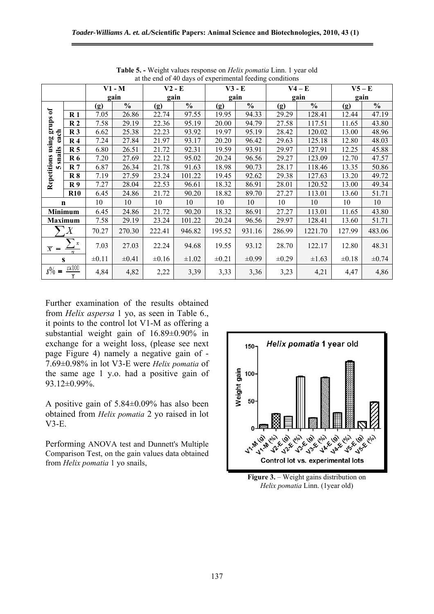|                  |                    | $\ldots$ and $\ldots$ is any set experimental recently<br>$V1 - M$<br>$V2 - E$<br>$V3 - E$<br>$V5 - E$<br>$V4 - E$ |               |            |               |            |               |            |               |            |               |  |
|------------------|--------------------|--------------------------------------------------------------------------------------------------------------------|---------------|------------|---------------|------------|---------------|------------|---------------|------------|---------------|--|
|                  |                    |                                                                                                                    |               |            |               |            |               |            |               |            |               |  |
|                  |                    | gain                                                                                                               |               | gain       |               | gain       |               | gain       |               | gain       |               |  |
|                  |                    | (g)                                                                                                                | $\frac{0}{0}$ | (g)        | $\frac{0}{0}$ | (g)        | $\frac{0}{0}$ | (g)        | $\frac{0}{0}$ | (g)        | $\frac{0}{0}$ |  |
|                  | $\mathbf{R}$ 1     | 7.05                                                                                                               | 26.86         | 22.74      | 97.55         | 19.95      | 94.33         | 29.29      | 128.41        | 12.44      | 47.19         |  |
| grups of         | R <sub>2</sub>     | 7.58                                                                                                               | 29.19         | 22.36      | 95.19         | 20.00      | 94.79         | 27.58      | 117.51        | 11.65      | 43.80         |  |
| each             | R <sub>3</sub>     | 6.62                                                                                                               | 25.38         | 22.23      | 93.92         | 19.97      | 95.19         | 28.42      | 120.02        | 13.00      | 48.96         |  |
| using            | $\mathbf{R}$ 4     | 7.24                                                                                                               | 27.84         | 21.97      | 93.17         | 20.20      | 96.42         | 29.63      | 125.18        | 12.80      | 48.03         |  |
|                  | R <sub>5</sub>     | 6.80                                                                                                               | 26.51         | 21.72      | 92.31         | 19.59      | 93.91         | 29.97      | 127.91        | 12.25      | 45.88         |  |
| snails           | <b>R6</b>          | 7.20                                                                                                               | 27.69         | 22.12      | 95.02         | 20.24      | 96.56         | 29.27      | 123.09        | 12.70      | 47.57         |  |
| <b>In</b>        | R <sub>7</sub>     | 6.87                                                                                                               | 26.34         | 21.78      | 91.63         | 18.98      | 90.73         | 28.17      | 118.46        | 13.35      | 50.86         |  |
|                  | R8                 | 7.19                                                                                                               | 27.59         | 23.24      | 101.22        | 19.45      | 92.62         | 29.38      | 127.63        | 13.20      | 49.72         |  |
| Repetitions      | R <sub>9</sub>     | 7.27                                                                                                               | 28.04         | 22.53      | 96.61         | 18.32      | 86.91         | 28.01      | 120.52        | 13.00      | 49.34         |  |
|                  | <b>R10</b>         | 6.45                                                                                                               | 24.86         | 21.72      | 90.20         | 18.82      | 89.70         | 27.27      | 113.01        | 13.60      | 51.71         |  |
|                  | $\mathbf n$        | 10                                                                                                                 | 10            | 10         | 10            | 10         | 10            | 10         | 10            | 10         | 10            |  |
|                  | <b>Minimum</b>     | 6.45                                                                                                               | 24.86         | 21.72      | 90.20         | 18.32      | 86.91         | 27.27      | 113.01        | 11.65      | 43.80         |  |
|                  | <b>Maximum</b>     | 7.58                                                                                                               | 29.19         | 23.24      | 101.22        | 20.24      | 96.56         | 29.97      | 128.41        | 13.60      | 51.71         |  |
|                  | $\boldsymbol{X}$   | 70.27                                                                                                              | 270.30        | 222.41     | 946.82        | 195.52     | 931.16        | 286.99     | 1221.70       | 127.99     | 483.06        |  |
| $\overline{x}$ = | $\frac{\sum x}{n}$ | 7.03                                                                                                               | 27.03         | 22.24      | 94.68         | 19.55      | 93.12         | 28.70      | 122.17        | 12.80      | 48.31         |  |
|                  | S                  | $\pm 0.11$                                                                                                         | $\pm 0.41$    | $\pm 0.16$ | $\pm 1.02$    | $\pm 0.21$ | $\pm 0.99$    | $\pm 0.29$ | $\pm 1.63$    | $\pm 0.18$ | $\pm 0.74$    |  |
| $s\% =$          | $s$ $\times$ 100   | 4,84                                                                                                               | 4,82          | 2,22       | 3,39          | 3,33       | 3,36          | 3,23       | 4,21          | 4,47       | 4,86          |  |

**Table 5. -** Weight values response on *Helix pomatia* Linn. 1 year old at the end of 40 days of experimental feeding conditions

Further examination of the results obtained from *Helix aspersa* 1 yo, as seen in Table 6., it points to the control lot V1-M as offering a substantial weight gain of 16.89±0.90% in exchange for a weight loss, (please see next page Figure 4) namely a negative gain of - 7.69±0.98% in lot V3-E were *Helix pomatia* of the same age 1 y.o. had a positive gain of 93.12±0.99%.

A positive gain of 5.84±0.09% has also been obtained from *Helix pomatia* 2 yo raised in lot V3-E.

Performing ANOVA test and Dunnett's Multiple Comparison Test, on the gain values data obtained from *Helix pomatia* 1 yo snails,



**Figure 3.** – Weight gains distribution on *Helix pomatia* Linn. (1year old)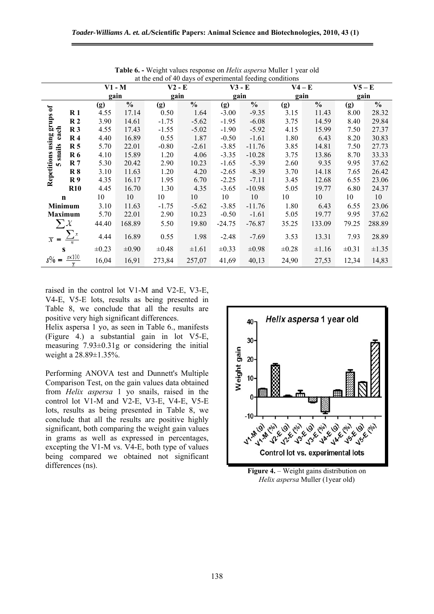| at the end of 40 days of experimental feeding conditions |                                   |            |               |            |               |            |               |            |               |            |               |
|----------------------------------------------------------|-----------------------------------|------------|---------------|------------|---------------|------------|---------------|------------|---------------|------------|---------------|
|                                                          |                                   | $V1 - M$   |               | $V2 - E$   |               | $V3 - E$   |               | $V4 - E$   |               | $V5 - E$   |               |
|                                                          |                                   | gain       |               | gain       |               | gain       |               | gain       |               | gain       |               |
|                                                          |                                   | (g)        | $\frac{0}{0}$ | (g)        | $\frac{0}{0}$ | (g)        | $\frac{0}{0}$ | (g)        | $\frac{0}{0}$ | (g)        | $\frac{0}{0}$ |
| grups of                                                 | $\mathbf{R}$ 1                    | 4.55       | 17.14         | 0.50       | 1.64          | $-3.00$    | $-9.35$       | 3.15       | 11.43         | 8.00       | 28.32         |
|                                                          | R <sub>2</sub>                    | 3.90       | 14.61         | $-1.75$    | $-5.62$       | $-1.95$    | $-6.08$       | 3.75       | 14.59         | 8.40       | 29.84         |
| each                                                     | R <sub>3</sub>                    | 4.55       | 17.43         | $-1.55$    | $-5.02$       | $-1.90$    | $-5.92$       | 4.15       | 15.99         | 7.50       | 27.37         |
|                                                          | $\mathbf{R}$ 4                    | 4.40       | 16.89         | 0.55       | 1.87          | $-0.50$    | $-1.61$       | 1.80       | 6.43          | 8.20       | 30.83         |
| using                                                    | R <sub>5</sub>                    | 5.70       | 22.01         | $-0.80$    | $-2.61$       | $-3.85$    | $-11.76$      | 3.85       | 14.81         | 7.50       | 27.73         |
| 5 snails                                                 | <b>R6</b>                         | 4.10       | 15.89         | 1.20       | 4.06          | $-3.35$    | $-10.28$      | 3.75       | 13.86         | 8.70       | 33.33         |
|                                                          | R <sub>7</sub>                    | 5.30       | 20.42         | 2.90       | 10.23         | $-1.65$    | $-5.39$       | 2.60       | 9.35          | 9.95       | 37.62         |
|                                                          | R8                                | 3.10       | 11.63         | 1.20       | 4.20          | $-2.65$    | $-8.39$       | 3.70       | 14.18         | 7.65       | 26.42         |
| Repetitions                                              | R9                                | 4.35       | 16.17         | 1.95       | 6.70          | $-2.25$    | $-7.11$       | 3.45       | 12.68         | 6.55       | 23.06         |
|                                                          | <b>R10</b>                        | 4.45       | 16.70         | 1.30       | 4.35          | $-3.65$    | $-10.98$      | 5.05       | 19.77         | 6.80       | 24.37         |
| $\mathbf n$                                              |                                   | 10         | 10            | 10         | 10            | 10         | 10            | 10         | 10            | 10         | 10            |
| Minimum                                                  |                                   | 3.10       | 11.63         | $-1.75$    | $-5.62$       | $-3.85$    | $-11.76$      | 1.80       | 6.43          | 6.55       | 23.06         |
|                                                          | <b>Maximum</b>                    | 5.70       | 22.01         | 2.90       | 10.23         | $-0.50$    | $-1.61$       | 5.05       | 19.77         | 9.95       | 37.62         |
|                                                          | $\sum X$                          | 44.40      | 168.89        | 5.50       | 19.80         | $-24.75$   | $-76.87$      | 35.25      | 133.09        | 79.25      | 288.89        |
| $\overline{x}$ =                                         |                                   | 4.44       | 16.89         | 0.55       | 1.98          | $-2.48$    | $-7.69$       | 3.53       | 13.31         | 7.93       | 28.89         |
|                                                          | S                                 | $\pm 0.23$ | $\pm 0.90$    | $\pm 0.48$ | $\pm 1.61$    | $\pm 0.33$ | $\pm 0.98$    | $\pm 0.28$ | $\pm 1.16$    | $\pm 0.31$ | $\pm 1.35$    |
| $s\% =$                                                  | $rac{s \times 100}{\overline{x}}$ | 16,04      | 16,91         | 273,84     | 257,07        | 41,69      | 40,13         | 24,90      | 27,53         | 12,34      | 14,83         |

**Table 6. -** Weight values response on *Helix aspersa* Muller 1 year old

raised in the control lot V1-M and V2-E, V3-E, V4-E, V5-E lots, results as being presented in Table 8, we conclude that all the results are positive very high significant differences.

Helix aspersa 1 yo, as seen in Table 6., manifests (Figure 4.) a substantial gain in lot V5-E, measuring 7.93±0.31g or considering the initial weight a 28.89±1.35%.

Performing ANOVA test and Dunnett's Multiple Comparison Test, on the gain values data obtained from *Helix aspersa* 1 yo snails, raised in the control lot V1-M and V2-E, V3-E, V4-E, V5-E lots, results as being presented in Table 8, we conclude that all the results are positive highly significant, both comparing the weight gain values in grams as well as expressed in percentages, excepting the V1-M vs. V4-E, both type of values being compared we obtained not significant differences (ns). **Figure 4.** – Weight gains distribution on



*Helix aspersa* Muller (1year old)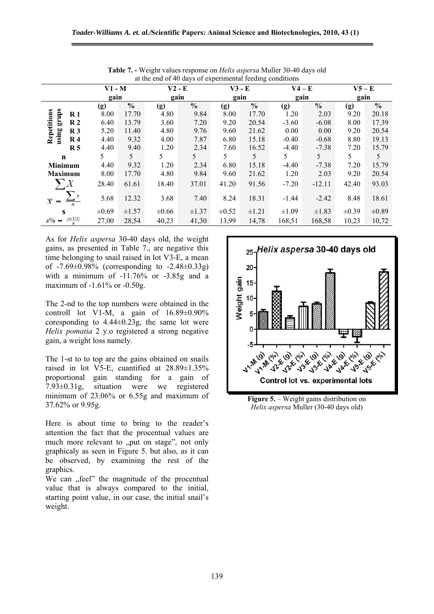| at the end of 40 days of experimental feeding conditions |            |               |            |               |            |               |            |               |            |               |  |
|----------------------------------------------------------|------------|---------------|------------|---------------|------------|---------------|------------|---------------|------------|---------------|--|
|                                                          | $V1 - M$   |               | $V2 - E$   |               | $V3 - E$   |               | $V4 - E$   |               | $V5 - E$   |               |  |
|                                                          | gain       |               | gain       |               | gain       |               | gain       |               | gain       |               |  |
|                                                          | (g)        | $\frac{0}{0}$ | (g)        | $\frac{0}{0}$ | (g)        | $\frac{0}{0}$ | (g)        | $\frac{0}{0}$ | (g)        | $\frac{0}{0}$ |  |
| R <sub>1</sub>                                           | 8.00       | 17.70         | 4.80       | 9.84          | 8.00       | 17.70         | 1.20       | 2.03          | 9.20       | 20.18         |  |
| grups<br>R <sub>2</sub>                                  | 6.40       | 13.79         | 3.60       | 7.20          | 9.20       | 20.54         | $-3.60$    | $-6.08$       | 8.00       | 17.39         |  |
| Repetitions<br>using grups<br>$\mathbb{R}^3$             | 5.20       | 11.40         | 4.80       | 9.76          | 9.60       | 21.62         | 0.00       | 0.00          | 9.20       | 20.54         |  |
| $\mathbb{R}$ 4                                           | 4.40       | 9.32          | 4.00       | 7.87          | 6.80       | 15.18         | $-0.40$    | $-0.68$       | 8.80       | 19.13         |  |
| R <sub>5</sub>                                           | 4.40       | 9.40          | 1.20       | 2.34          | 7.60       | 16.52         | $-4.40$    | $-7.38$       | 7.20       | 15.79         |  |
| $\mathbf n$                                              | 5          | 5             | 5          | 5             | 5          | 5             | 5          | 5             | 5          | 5             |  |
| <b>Minimum</b>                                           | 4.40       | 9.32          | 1.20       | 2.34          | 6.80       | 15.18         | $-4.40$    | $-7.38$       | 7.20       | 15.79         |  |
| <b>Maximum</b>                                           | 8.00       | 17.70         | 4.80       | 9.84          | 9.60       | 21.62         | 1.20       | 2.03          | 9.20       | 20.54         |  |
| $\sum X$                                                 | 28.40      | 61.61         | 18.40      | 37.01         | 41.20      | 91.56         | $-7.20$    | $-12.11$      | 42.40      | 93.03         |  |
| $\overline{x}$<br>$\qquad \qquad =$<br>$\overline{n}$    | 5.68       | 12.32         | 3.68       | 7.40          | 8.24       | 18.31         | $-1.44$    | $-2.42$       | 8.48       | 18.61         |  |
| S                                                        | $\pm 0.69$ | $\pm 1.57$    | $\pm 0.66$ | ±1.37         | $\pm 0.52$ | $\pm 1.21$    | $\pm 1.09$ | $\pm 1.83$    | $\pm 0.39$ | $\pm 0.89$    |  |
| $\frac{s \times 100}{\overline{x}}$<br>$s\% =$           | 27,00      | 28,54         | 40,23      | 41,30         | 13,99      | 14,78         | 168,51     | 168,58        | 10,23      | 10,72         |  |

**Table 7. -** Weight values response on *Helix aspersa* Muller 30-40 days old at the end of 40 days of experimental feeding conditions

As for *Helix aspersa* 30-40 days old, the weight gains, as presented in Table 7., are negative this time belonging to snail raised in lot V3-E, a mean of -7.69±0.98% (corresponding to -2.48±0.33g) with a minimum of  $-11.76\%$  or  $-3.85g$  and a maximum of -1.61% or -0.50g.

The 2-nd to the top numbers were obtained in the controll lot V1-M, a gain of  $16.89\pm0.90\%$ coresponding to  $4.44\pm0.23$ g, the same lot were *Helix pomatia* 2 y.o registered a strong negative gain, a weight loss namely.

The 1-st to to top are the gains obtained on snails raised in lot V5-E, cuantified at 28.89±1.35% proportional gain standing for a gain of 7.93±0.31g, situation were we registered minimum of 23.06% or 6.55g and maximum of 37.62% or 9.95g.

Here is about time to bring to the reader's attention the fact that the procentual values are much more relevant to "put on stage", not only graphicaly as seen in Figure 5. but also, as it can be observed, by examining the rest of the graphics.

We can "feel" the magnitude of the procentual value that is always compared to the initial, starting point value, in our case, the initial snail's weight.



**Figure 5.** – Weight gains distribution on *Helix aspersa* Muller (30-40 days old)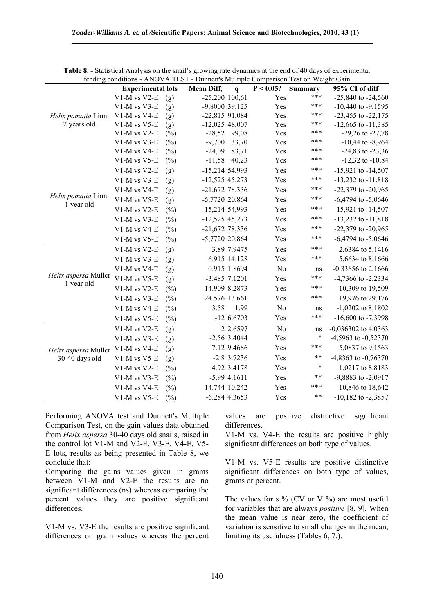|                      | <b>Experimental lots</b> |        | <b>Mean Diff,</b> | $\mathbf q$     | P < 0,05?      | <b>Summary</b> | 95% CI of diff          |
|----------------------|--------------------------|--------|-------------------|-----------------|----------------|----------------|-------------------------|
|                      | V1-M vs V2-E             | (g)    | $-25,200$ 100,61  |                 | Yes            | ***            | $-25,840$ to $-24,560$  |
|                      | V1-M vs V3-E             | (g)    | -9,8000 39,125    |                 | Yes            | ***            | $-10,440$ to $-9,1595$  |
| Helix pomatia Linn.  | V1-M vs V4-E             | (g)    | $-22,815$ 91,084  |                 | Yes            | ***            | -23,455 to -22,175      |
| 2 years old          | V1-M vs V5-E             | (g)    | $-12,025$ 48,007  |                 | Yes            | ***            | $-12,665$ to $-11,385$  |
|                      | V1-M vs V2-E             | $(\%)$ | $-28,52$          | 99,08           | Yes            | ***            | $-29,26$ to $-27,78$    |
|                      | V1-M vs V3-E             | $(\%)$ | $-9,700$          | 33,70           | Yes            | ***            | $-10,44$ to $-8,964$    |
|                      | V1-M vs V4-E             | $(\%)$ | $-24,09$          | 83,71           | Yes            | ***            | $-24,83$ to $-23,36$    |
|                      | $V1-M$ vs $V5-E$         | $(\%)$ |                   | $-11,58$ 40,23  | Yes            | ***            | $-12,32$ to $-10,84$    |
|                      | V1-M vs V2-E             | (g)    | $-15,214$ 54,993  |                 | Yes            | ***            | $-15,921$ to $-14,507$  |
|                      | V1-M vs V3-E             | (g)    | $-12,525$ 45,273  |                 | Yes            | ***            | $-13,232$ to $-11,818$  |
|                      | V1-M vs V4-E             | (g)    | $-21,672$ 78,336  |                 | Yes            | ***            | -22,379 to -20,965      |
| Helix pomatia Linn.  | V1-M vs V5-E             | (g)    | $-5,7720,20,864$  |                 | Yes            | ***            | $-6,4794$ to $-5,0646$  |
| 1 year old           | V1-M vs V2-E             | $(\%)$ | $-15,214$ 54,993  |                 | Yes            | ***            | $-15,921$ to $-14,507$  |
|                      | V1-M vs V3-E             | (%)    | $-12,525$ 45,273  |                 | Yes            | ***            | $-13,232$ to $-11,818$  |
|                      | V1-M vs V4-E             | $(\%)$ | $-21,672$ 78,336  |                 | Yes            | ***            | $-22,379$ to $-20,965$  |
|                      | $V1-M$ vs $V5-E$         | $(\%)$ | $-5,7720,20,864$  |                 | Yes            | ***            | $-6,4794$ to $-5,0646$  |
|                      | V1-M vs V2-E             | (g)    |                   | 3.89 7.9475     | Yes            | ***            | 2,6384 to 5,1416        |
|                      | V1-M vs V3-E             | (g)    |                   | 6.915 14.128    | Yes            | ***            | 5,6634 to 8,1666        |
|                      | V1-M vs V4-E             | (g)    |                   | 0.915 1.8694    | N <sub>o</sub> | ns             | $-0,33656$ to 2,1666    |
| Helix aspersa Muller | V1-M vs V5-E             | (g)    |                   | $-3.485$ 7.1201 | Yes            | ***            | -4,7366 to -2,2334      |
| 1 year old           | V1-M vs V2-E             | $(\%)$ |                   | 14.909 8.2873   | Yes            | ***            | 10,309 to 19,509        |
|                      | V1-M vs V3-E             | $(\%)$ | 24.576 13.661     |                 | Yes            | ***            | 19,976 to 29,176        |
|                      | V1-M vs V4-E             | (%)    | 3.58              | 1.99            | No             | ns             | $-1,0202$ to 8,1802     |
|                      | $V1-M$ vs V5-E           | $(\%)$ |                   | $-126.6703$     | Yes            | ***            | $-16,600$ to $-7,3998$  |
|                      | V1-M vs V2-E             | (g)    |                   | 2 2.6597        | N <sub>o</sub> | ns             | $-0,036302$ to $4,0363$ |
|                      | V1-M vs V3-E             | (g)    |                   | $-2.56$ 3.4044  | Yes            | $\ast$         | -4,5963 to -0,52370     |
| Helix aspersa Muller | V1-M vs V4-E             | (g)    |                   | 7.12 9.4686     | Yes            | ***            | 5,0837 to 9,1563        |
| 30-40 days old       | V1-M vs V5-E             | (g)    |                   | $-2.8$ 3.7236   | Yes            | $***$          | -4,8363 to -0,76370     |
|                      | V1-M vs V2-E             | $(\%)$ |                   | 4.92 3.4178     | Yes            | $\ast$         | 1,0217 to 8,8183        |
|                      | V1-M vs V3-E             | $(\%)$ |                   | $-5.99$ 4.1611  | Yes            | $***$          | -9,8883 to -2,0917      |
|                      | V1-M vs V4-E             | $(\%)$ |                   | 14.744 10.242   | Yes            | ***            | 10,846 to 18,642        |
|                      | $V1-M$ vs $V5-E$         | $(\%)$ |                   | $-6.284$ 4.3653 | Yes            | $***$          | $-10,182$ to $-2,3857$  |

**Table 8. -** Statistical Analysis on the snail's growing rate dynamics at the end of 40 days of experimental feeding conditions - ANOVA TEST - Dunnett's Multiple Comparison Test on Weight Gain

Performing ANOVA test and Dunnett's Multiple Comparison Test, on the gain values data obtained from *Helix aspersa* 30-40 days old snails, raised in the control lot V1-M and V2-E, V3-E, V4-E, V5- E lots, results as being presented in Table 8, we conclude that:

Comparing the gains values given in grams between V1-M and V2-E the results are no significant differences (ns) whereas comparing the percent values they are positive significant differences.

V1-M vs. V3-E the results are positive significant differences on gram values whereas the percent values are positive distinctive significant differences.

V1-M vs. V4-E the results are positive highly significant differences on both type of values.

V1-M vs. V5-E results are positive distinctive significant differences on both type of values, grams or percent.

The values for s  $\%$  (CV or V  $\%$ ) are most useful for variables that are always *positive* [8, 9]*.* When the mean value is near zero, the coefficient of variation is sensitive to small changes in the mean, limiting its usefulness (Tables 6, 7.).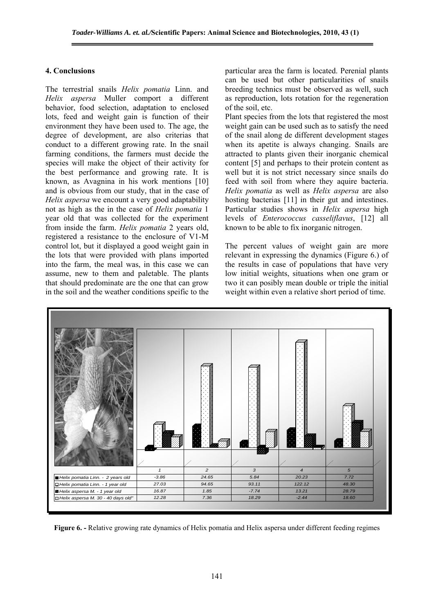## **4. Conclusions**

The terrestrial snails *Helix pomatia* Linn. and *Helix aspersa* Muller comport a different behavior, food selection, adaptation to enclosed lots, feed and weight gain is function of their environment they have been used to. The age, the degree of development, are also criterias that conduct to a different growing rate. In the snail farming conditions, the farmers must decide the species will make the object of their activity for the best performance and growing rate. It is known, as Avagnina in his work mentions [10] and is obvious from our study, that in the case of *Helix aspersa* we encount a very good adaptability not as high as the in the case of *Helix pomatia* 1 year old that was collected for the experiment from inside the farm. *Helix pomatia* 2 years old, registered a resistance to the enclosure of V1-M control lot, but it displayed a good weight gain in the lots that were provided with plans imported into the farm, the meal was, in this case we can assume, new to them and paletable. The plants that should predominate are the one that can grow in the soil and the weather conditions speific to the particular area the farm is located. Perenial plants can be used but other particularities of snails breeding technics must be observed as well, such as reproduction, lots rotation for the regeneration of the soil, etc.

Plant species from the lots that registered the most weight gain can be used such as to satisfy the need of the snail along de different development stages when its apetite is always changing. Snails are attracted to plants given their inorganic chemical content [5] and perhaps to their protein content as well but it is not strict necessary since snails do feed with soil from where they aquire bacteria. *Helix pomatia* as well as *Helix aspersa* are also hosting bacterias [11] in their gut and intestines. Particular studies shows in *Helix aspersa* high levels of *Enterococcus casseliflavus*, [12] all known to be able to fix inorganic nitrogen.

The percent values of weight gain are more relevant in expressing the dynamics (Figure 6.) of the results in case of populations that have very low initial weights, situations when one gram or two it can posibly mean double or triple the initial weight within even a relative short period of time.



**Figure 6. -** Relative growing rate dynamics of Helix pomatia and Helix aspersa under different feeding regimes